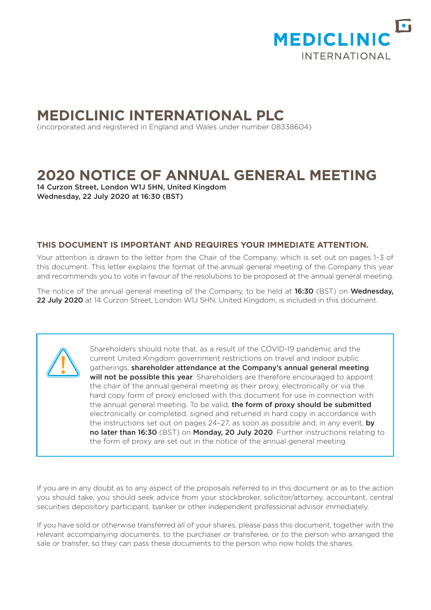

## **MEDICLINIC INTERNATIONAL PLC**

(incorporated and registered in England and Wales under number 08338604)

## **2020 NOTICE OF ANNUAL GENERAL MEETING**

14 Curzon Street, London W1J 5HN, United Kingdom Wednesday, 22 July 2020 at 16:30 (BST)

## **THIS DOCUMENT IS IMPORTANT AND REQUIRES YOUR IMMEDIATE ATTENTION.**

Your attention is drawn to the letter from the Chair of the Company, which is set out on pages 1–3 of this document. This letter explains the format of the annual general meeting of the Company this year and recommends you to vote in favour of the resolutions to be proposed at the annual general meeting.

The notice of the annual general meeting of the Company, to be held at 16:30 (BST) on Wednesday, 22 July 2020 at 14 Curzon Street, London W1J 5HN, United Kingdom, is included in this document.



Shareholders should note that, as a result of the COVID-19 pandemic and the current United Kingdom government restrictions on travel and indoor public gatherings, shareholder attendance at the Company's annual general meeting will not be possible this year. Shareholders are therefore encouraged to appoint the chair of the annual general meeting as their proxy, electronically or via the hard copy form of proxy enclosed with this document for use in connection with the annual general meeting. To be valid, the form of proxy should be submitted electronically or completed, signed and returned in hard copy in accordance with the instructions set out on pages 24-27, as soon as possible and, in any event, by no later than 16:30 (BST) on Monday, 20 July 2020. Further instructions relating to the form of proxy are set out in the notice of the annual general meeting.

If you are in any doubt as to any aspect of the proposals referred to in this document or as to the action you should take, you should seek advice from your stockbroker, solicitor/attorney, accountant, central securities depository participant, banker or other independent professional advisor immediately.

If you have sold or otherwise transferred all of your shares, please pass this document, together with the relevant accompanying documents, to the purchaser or transferee, or to the person who arranged the sale or transfer, so they can pass these documents to the person who now holds the shares.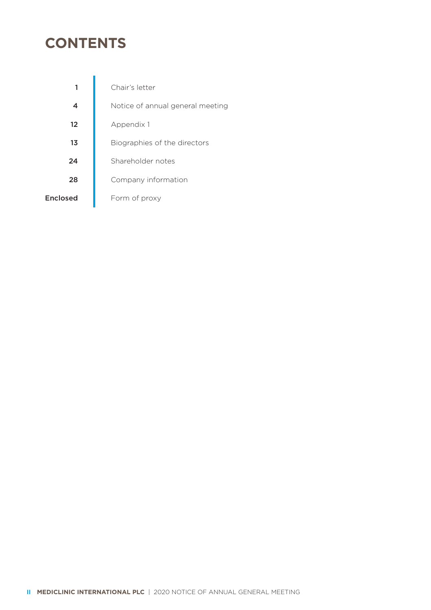## **CONTENTS**

|          | Chair's letter                   |
|----------|----------------------------------|
|          | Notice of annual general meeting |
| 12       | Appendix 1                       |
| 13       | Biographies of the directors     |
| 24       | Shareholder notes                |
| 28       | Company information              |
| Enclosed | Form of proxy                    |
|          |                                  |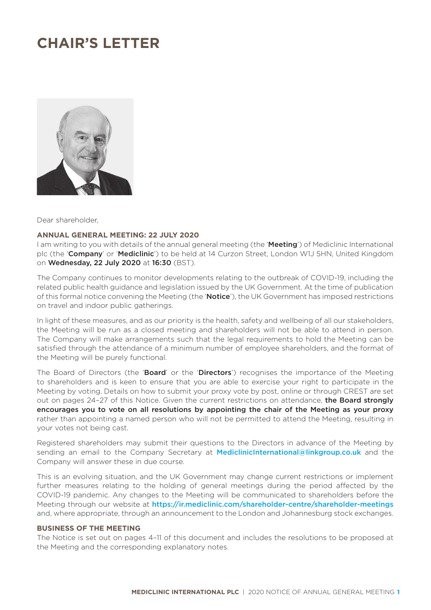## **CHAIR'S LETTER**



#### Dear shareholder,

### **ANNUAL GENERAL MEETING: 22 JULY 2020**

I am writing to you with details of the annual general meeting (the 'Meeting') of Mediclinic International plc (the 'Company' or 'Mediclinic') to be held at 14 Curzon Street, London W1J 5HN, United Kingdom on Wednesday, 22 July 2020 at 16:30 (BST).

The Company continues to monitor developments relating to the outbreak of COVID-19, including the related public health guidance and legislation issued by the UK Government. At the time of publication of this formal notice convening the Meeting (the 'Notice'), the UK Government has imposed restrictions on travel and indoor public gatherings.

In light of these measures, and as our priority is the health, safety and wellbeing of all our stakeholders, the Meeting will be run as a closed meeting and shareholders will not be able to attend in person. The Company will make arrangements such that the legal requirements to hold the Meeting can be satisfied through the attendance of a minimum number of employee shareholders, and the format of the Meeting will be purely functional.

The Board of Directors (the 'Board' or the 'Directors') recognises the importance of the Meeting to shareholders and is keen to ensure that you are able to exercise your right to participate in the Meeting by voting. Details on how to submit your proxy vote by post, online or through CREST are set out on pages 24-27 of this Notice. Given the current restrictions on attendance, the Board strongly encourages you to vote on all resolutions by appointing the chair of the Meeting as your proxy rather than appointing a named person who will not be permitted to attend the Meeting, resulting in your votes not being cast.

Registered shareholders may submit their questions to the Directors in advance of the Meeting by sending an email to the Company Secretary at MediclinicInternational@linkgroup.co.uk and the Company will answer these in due course.

This is an evolving situation, and the UK Government may change current restrictions or implement further measures relating to the holding of general meetings during the period affected by the COVID-19 pandemic. Any changes to the Meeting will be communicated to shareholders before the Meeting through our website at https://ir.mediclinic.com/shareholder-centre/shareholder-meetings and, where appropriate, through an announcement to the London and Johannesburg stock exchanges.

#### **BUSINESS OF THE MEETING**

The Notice is set out on pages 4–11 of this document and includes the resolutions to be proposed at the Meeting and the corresponding explanatory notes.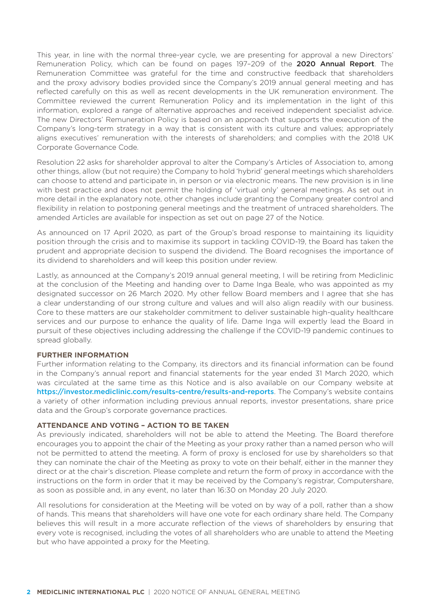This year, in line with the normal three-year cycle, we are presenting for approval a new Directors' Remuneration Policy, which can be found on pages 197–209 of the 2020 Annual Report. The Remuneration Committee was grateful for the time and constructive feedback that shareholders and the proxy advisory bodies provided since the Company's 2019 annual general meeting and has reflected carefully on this as well as recent developments in the UK remuneration environment. The Committee reviewed the current Remuneration Policy and its implementation in the light of this information, explored a range of alternative approaches and received independent specialist advice. The new Directors' Remuneration Policy is based on an approach that supports the execution of the Company's long-term strategy in a way that is consistent with its culture and values; appropriately aligns executives' remuneration with the interests of shareholders; and complies with the 2018 UK Corporate Governance Code.

Resolution 22 asks for shareholder approval to alter the Company's Articles of Association to, among other things, allow (but not require) the Company to hold 'hybrid' general meetings which shareholders can choose to attend and participate in, in person or via electronic means. The new provision is in line with best practice and does not permit the holding of 'virtual only' general meetings. As set out in more detail in the explanatory note, other changes include granting the Company greater control and flexibility in relation to postponing general meetings and the treatment of untraced shareholders. The amended Articles are available for inspection as set out on page 27 of the Notice.

As announced on 17 April 2020, as part of the Group's broad response to maintaining its liquidity position through the crisis and to maximise its support in tackling COVID-19, the Board has taken the prudent and appropriate decision to suspend the dividend. The Board recognises the importance of its dividend to shareholders and will keep this position under review.

Lastly, as announced at the Company's 2019 annual general meeting, I will be retiring from Mediclinic at the conclusion of the Meeting and handing over to Dame Inga Beale, who was appointed as my designated successor on 26 March 2020. My other fellow Board members and I agree that she has a clear understanding of our strong culture and values and will also align readily with our business. Core to these matters are our stakeholder commitment to deliver sustainable high-quality healthcare services and our purpose to enhance the quality of life. Dame Inga will expertly lead the Board in pursuit of these objectives including addressing the challenge if the COVID-19 pandemic continues to spread globally.

#### **FURTHER INFORMATION**

Further information relating to the Company, its directors and its financial information can be found in the Company's annual report and financial statements for the year ended 31 March 2020, which was circulated at the same time as this Notice and is also available on our Company website at https://investor.mediclinic.com/results-centre/results-and-reports. The Company's website contains a variety of other information including previous annual reports, investor presentations, share price data and the Group's corporate governance practices.

#### **ATTENDANCE AND VOTING – ACTION TO BE TAKEN**

As previously indicated, shareholders will not be able to attend the Meeting. The Board therefore encourages you to appoint the chair of the Meeting as your proxy rather than a named person who will not be permitted to attend the meeting. A form of proxy is enclosed for use by shareholders so that they can nominate the chair of the Meeting as proxy to vote on their behalf, either in the manner they direct or at the chair's discretion. Please complete and return the form of proxy in accordance with the instructions on the form in order that it may be received by the Company's registrar, Computershare, as soon as possible and, in any event, no later than 16:30 on Monday 20 July 2020.

All resolutions for consideration at the Meeting will be voted on by way of a poll, rather than a show of hands. This means that shareholders will have one vote for each ordinary share held. The Company believes this will result in a more accurate reflection of the views of shareholders by ensuring that every vote is recognised, including the votes of all shareholders who are unable to attend the Meeting but who have appointed a proxy for the Meeting.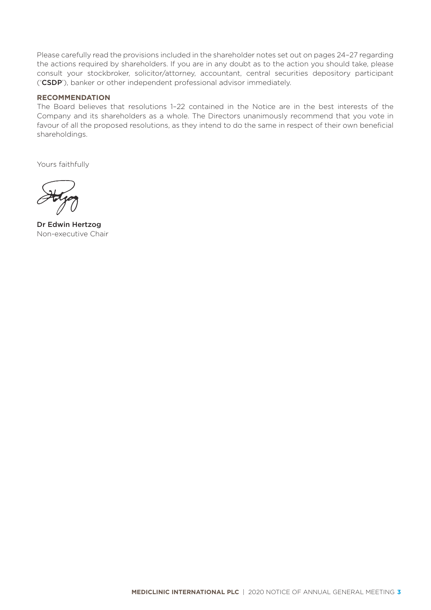Please carefully read the provisions included in the shareholder notes set out on pages 24–27 regarding the actions required by shareholders. If you are in any doubt as to the action you should take, please consult your stockbroker, solicitor/attorney, accountant, central securities depository participant ('CSDP'), banker or other independent professional advisor immediately.

#### **RECOMMENDATION**

The Board believes that resolutions 1–22 contained in the Notice are in the best interests of the Company and its shareholders as a whole. The Directors unanimously recommend that you vote in favour of all the proposed resolutions, as they intend to do the same in respect of their own beneficial shareholdings.

Yours faithfully

Dr Edwin Hertzog Non-executive Chair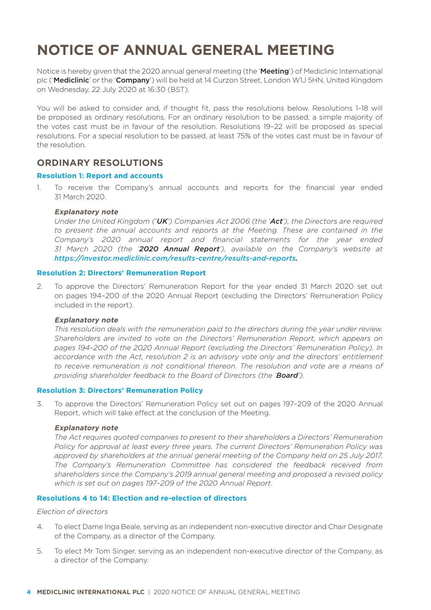## **NOTICE OF ANNUAL GENERAL MEETING**

Notice is hereby given that the 2020 annual general meeting (the 'Meeting') of Mediclinic International plc ('Mediclinic' or the 'Company') will be held at 14 Curzon Street, London W1J 5HN, United Kingdom on Wednesday, 22 July 2020 at 16:30 (BST).

You will be asked to consider and, if thought fit, pass the resolutions below. Resolutions 1–18 will be proposed as ordinary resolutions. For an ordinary resolution to be passed, a simple majority of the votes cast must be in favour of the resolution. Resolutions 19–22 will be proposed as special resolutions. For a special resolution to be passed, at least 75% of the votes cast must be in favour of the resolution.

## **ORDINARY RESOLUTIONS**

#### **Resolution 1: Report and accounts**

1. To receive the Company's annual accounts and reports for the financial year ended 31 March 2020.

#### **Explanatory note**

 *Under the United Kingdom ('UK') Companies Act 2006 (the 'Act'), the Directors are required*  to present the annual accounts and reports at the Meeting. These are contained in the *Company's 2020 annual report and financial statements for the year ended 31 March 2020 (the '2020 Annual Report'), available on the Company's website at https://investor.mediclinic.com/results-centre/results-and-reports.* 

#### **Resolution 2: Directors' Remuneration Report**

2. To approve the Directors' Remuneration Report for the year ended 31 March 2020 set out on pages 194–200 of the 2020 Annual Report (excluding the Directors' Remuneration Policy included in the report).

#### **Explanatory note**

 *This resolution deals with the remuneration paid to the directors during the year under review. Shareholders are invited to vote on the Directors' Remuneration Report, which appears on pages 194–200 of the 2020 Annual Report (excluding the Directors' Remuneration Policy). In accordance with the Act, resolution 2 is an advisory vote only and the directors' entitlement*  to receive remuneration is not conditional thereon. The resolution and vote are a means of *providing shareholder feedback to the Board of Directors (the 'Board').*

#### **Resolution 3: Directors' Remuneration Policy**

3. To approve the Directors' Remuneration Policy set out on pages 197–209 of the 2020 Annual Report, which will take effect at the conclusion of the Meeting.

#### **Explanatory note**

*The Act requires quoted companies to present to their shareholders a Directors' Remuneration Policy for approval at least every three years. The current Directors' Remuneration Policy was approved by shareholders at the annual general meeting of the Company held on 25 July 2017. The Company's Remuneration Committee has considered the feedback received from shareholders since the Company's 2019 annual general meeting and proposed a revised policy which is set out on pages 197–209 of the 2020 Annual Report*.

#### **Resolutions 4 to 14: Election and re-election of directors**

#### *Election of directors*

- 4. To elect Dame Inga Beale, serving as an independent non-executive director and Chair Designate of the Company, as a director of the Company.
- 5. To elect Mr Tom Singer, serving as an independent non-executive director of the Company, as a director of the Company.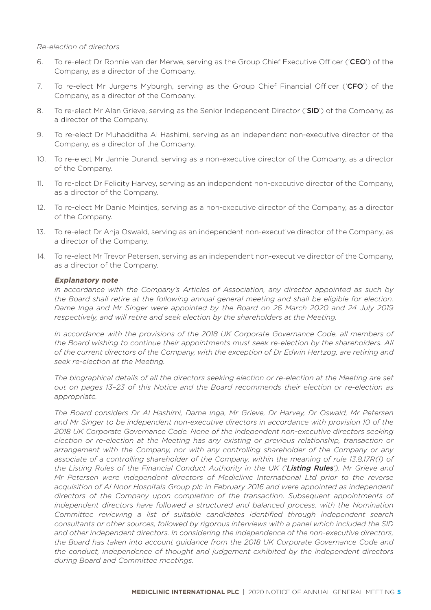#### *Re-election of directors*

- 6. To re-elect Dr Ronnie van der Merwe, serving as the Group Chief Executive Officer ('CEO') of the Company, as a director of the Company.
- 7. To re-elect Mr Jurgens Myburgh, serving as the Group Chief Financial Officer ('CFO') of the Company, as a director of the Company.
- 8. To re-elect Mr Alan Grieve, serving as the Senior Independent Director ('SID') of the Company, as a director of the Company.
- 9. To re-elect Dr Muhadditha Al Hashimi, serving as an independent non-executive director of the Company, as a director of the Company.
- 10. To re-elect Mr Jannie Durand, serving as a non-executive director of the Company, as a director of the Company.
- 11. To re-elect Dr Felicity Harvey, serving as an independent non-executive director of the Company, as a director of the Company.
- 12. To re-elect Mr Danie Meintjes, serving as a non-executive director of the Company, as a director of the Company.
- 13. To re-elect Dr Anja Oswald, serving as an independent non-executive director of the Company, as a director of the Company.
- 14. To re-elect Mr Trevor Petersen, serving as an independent non-executive director of the Company, as a director of the Company.

#### **Explanatory note**

 *In accordance with the Company's Articles of Association, any director appointed as such by the Board shall retire at the following annual general meeting and shall be eligible for election. Dame Inga and Mr Singer were appointed by the Board on 26 March 2020 and 24 July 2019 respectively, and will retire and seek election by the shareholders at the Meeting.*

 *In accordance with the provisions of the 2018 UK Corporate Governance Code, all members of the Board wishing to continue their appointments must seek re-election by the shareholders. All of the current directors of the Company, with the exception of Dr Edwin Hertzog, are retiring and seek re-election at the Meeting.* 

 *The biographical details of all the directors seeking election or re-election at the Meeting are set out on pages 13–23 of this Notice and the Board recommends their election or re-election as appropriate.*

 *The Board considers Dr Al Hashimi, Dame Inga, Mr Grieve, Dr Harvey, Dr Oswald, Mr Petersen and Mr Singer to be independent non-executive directors in accordance with provision 10 of the 2018 UK Corporate Governance Code. None of the independent non-executive directors seeking election or re-election at the Meeting has any existing or previous relationship, transaction or arrangement with the Company, nor with any controlling shareholder of the Company or any associate of a controlling shareholder of the Company, within the meaning of rule 13.8.17R(1) of the Listing Rules of the Financial Conduct Authority in the UK ('Listing Rules'). Mr Grieve and Mr Petersen were independent directors of Mediclinic International Ltd prior to the reverse acquisition of Al Noor Hospitals Group plc in February 2016 and were appointed as independent directors of the Company upon completion of the transaction. Subsequent appointments of independent directors have followed a structured and balanced process, with the Nomination Committee reviewing a list of suitable candidates identified through independent search consultants or other sources, followed by rigorous interviews with a panel which included the SID and other independent directors. In considering the independence of the non-executive directors, the Board has taken into account guidance from the 2018 UK Corporate Governance Code and the conduct, independence of thought and judgement exhibited by the independent directors during Board and Committee meetings.*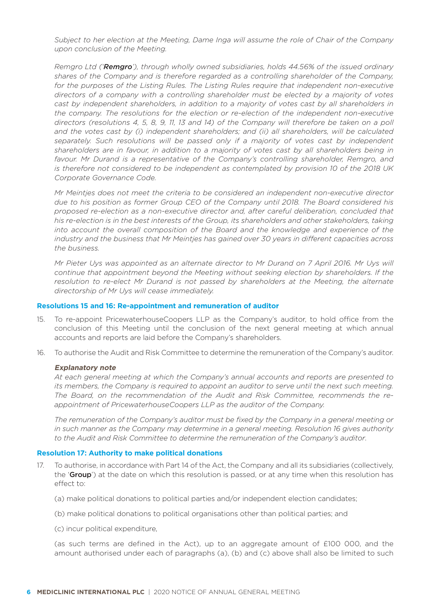*Subject to her election at the Meeting, Dame Inga will assume the role of Chair of the Company upon conclusion of the Meeting.*

 *Remgro Ltd ('Remgro'), through wholly owned subsidiaries, holds 44.56% of the issued ordinary shares of the Company and is therefore regarded as a controlling shareholder of the Company,*  for the purposes of the Listing Rules. The Listing Rules require that independent non-executive *directors of a company with a controlling shareholder must be elected by a majority of votes cast by independent shareholders, in addition to a majority of votes cast by all shareholders in the company. The resolutions for the election or re-election of the independent non-executive directors (resolutions 4, 5, 8, 9, 11, 13 and 14) of the Company will therefore be taken on a poll and the votes cast by (i) independent shareholders; and (ii) all shareholders, will be calculated separately. Such resolutions will be passed only if a majority of votes cast by independent shareholders are in favour, in addition to a majority of votes cast by all shareholders being in*  favour. Mr Durand is a representative of the Company's controlling shareholder, Remgro, and *is therefore not considered to be independent as contemplated by provision 10 of the 2018 UK Corporate Governance Code.* 

 *Mr Meintjes does not meet the criteria to be considered an independent non-executive director due to his position as former Group CEO of the Company until 2018. The Board considered his proposed re-election as a non-executive director and, after careful deliberation, concluded that his re-election is in the best interests of the Group, its shareholders and other stakeholders, taking into account the overall composition of the Board and the knowledge and experience of the industry and the business that Mr Meintjes has gained over 30 years in different capacities across the business.*

*Mr Pieter Uys was appointed as an alternate director to Mr Durand on 7 April 2016. Mr Uys will continue that appointment beyond the Meeting without seeking election by shareholders. If the*  resolution to re-elect Mr Durand is not passed by shareholders at the Meeting, the alternate *directorship of Mr Uys will cease immediately.* 

#### **Resolutions 15 and 16: Re-appointment and remuneration of auditor**

- 15. To re-appoint PricewaterhouseCoopers LLP as the Company's auditor, to hold office from the conclusion of this Meeting until the conclusion of the next general meeting at which annual accounts and reports are laid before the Company's shareholders.
- 16. To authorise the Audit and Risk Committee to determine the remuneration of the Company's auditor.

#### **Explanatory note**

*At each general meeting at which the Company's annual accounts and reports are presented to its members, the Company is required to appoint an auditor to serve until the next such meeting. The Board, on the recommendation of the Audit and Risk Committee, recommends the reappointment of PricewaterhouseCoopers LLP as the auditor of the Company.*

*The remuneration of the Company's auditor must be fixed by the Company in a general meeting or in such manner as the Company may determine in a general meeting. Resolution 16 gives authority to the Audit and Risk Committee to determine the remuneration of the Company's auditor*.

#### **Resolution 17: Authority to make political donations**

- 17. To authorise, in accordance with Part 14 of the Act, the Company and all its subsidiaries (collectively, the 'Group') at the date on which this resolution is passed, or at any time when this resolution has effect to:
	- (a) make political donations to political parties and/or independent election candidates;
	- (b) make political donations to political organisations other than political parties; and
	- (c) incur political expenditure,

 (as such terms are defined in the Act), up to an aggregate amount of £100 000, and the amount authorised under each of paragraphs (a), (b) and (c) above shall also be limited to such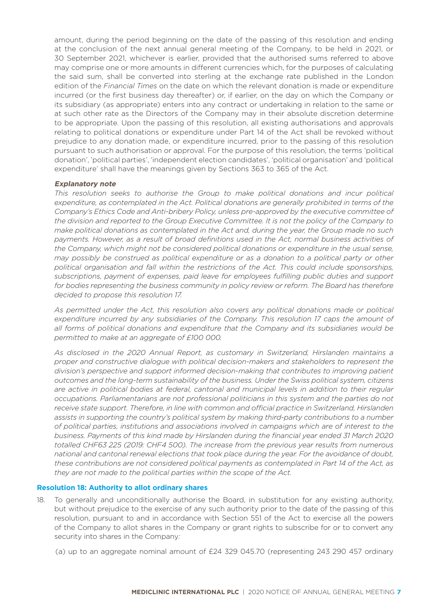amount, during the period beginning on the date of the passing of this resolution and ending at the conclusion of the next annual general meeting of the Company, to be held in 2021, or 30 September 2021, whichever is earlier, provided that the authorised sums referred to above may comprise one or more amounts in different currencies which, for the purposes of calculating the said sum, shall be converted into sterling at the exchange rate published in the London edition of the *Financial Times* on the date on which the relevant donation is made or expenditure incurred (or the first business day thereafter) or, if earlier, on the day on which the Company or its subsidiary (as appropriate) enters into any contract or undertaking in relation to the same or at such other rate as the Directors of the Company may in their absolute discretion determine to be appropriate. Upon the passing of this resolution, all existing authorisations and approvals relating to political donations or expenditure under Part 14 of the Act shall be revoked without prejudice to any donation made, or expenditure incurred, prior to the passing of this resolution pursuant to such authorisation or approval. For the purpose of this resolution, the terms 'political donation', 'political parties', 'independent election candidates', 'political organisation' and 'political expenditure' shall have the meanings given by Sections 363 to 365 of the Act.

#### **Explanatory note**

 *This resolution seeks to authorise the Group to make political donations and incur political expenditure, as contemplated in the Act. Political donations are generally prohibited in terms of the Company's Ethics Code and Anti-bribery Policy, unless pre-approved by the executive committee of the division and reported to the Group Executive Committee. It is not the policy of the Company to make political donations as contemplated in the Act and, during the year, the Group made no such payments. However, as a result of broad definitions used in the Act, normal business activities of*  the Company, which might not be considered political donations or expenditure in the usual sense, *may possibly be construed as political expenditure or as a donation to a political party or other political organisation and fall within the restrictions of the Act. This could include sponsorships, subscriptions, payment of expenses, paid leave for employees fulfilling public duties and support*  for bodies representing the business community in policy review or reform. The Board has therefore *decided to propose this resolution 17.* 

 *As permitted under the Act, this resolution also covers any political donations made or political*  expenditure incurred by any subsidiaries of the Company. This resolution 17 caps the amount of *all forms of political donations and expenditure that the Company and its subsidiaries would be permitted to make at an aggregate of £100 000.*

 *As disclosed in the 2020 Annual Report, as customary in Switzerland, Hirslanden maintains a proper and constructive dialogue with political decision-makers and stakeholders to represent the division's perspective and support informed decision-making that contributes to improving patient outcomes and the long-term sustainability of the business. Under the Swiss political system, citizens are active in political bodies at federal, cantonal and municipal levels in addition to their regular occupations. Parliamentarians are not professional politicians in this system and the parties do not receive state support. Therefore, in line with common and official practice in Switzerland, Hirslanden assists in supporting the country's political system by making third-party contributions to a number of political parties, institutions and associations involved in campaigns which are of interest to the business. Payments of this kind made by Hirslanden during the financial year ended 31 March 2020 totalled CHF63 225 (2019: CHF4 500). The increase from the previous year results from numerous national and cantonal renewal elections that took place during the year. For the avoidance of doubt, these contributions are not considered political payments as contemplated in Part 14 of the Act, as they are not made to the political parties within the scope of the Act.*

#### **Resolution 18: Authority to allot ordinary shares**

18. To generally and unconditionally authorise the Board, in substitution for any existing authority, but without prejudice to the exercise of any such authority prior to the date of the passing of this resolution, pursuant to and in accordance with Section 551 of the Act to exercise all the powers of the Company to allot shares in the Company or grant rights to subscribe for or to convert any security into shares in the Company*:*

(a) up to an aggregate nominal amount of £24 329 045.70 (representing 243 290 457 ordinary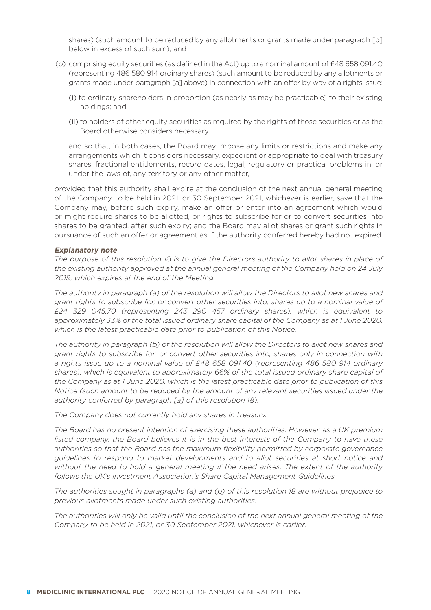shares) (such amount to be reduced by any allotments or grants made under paragraph [b] below in excess of such sum); and

- (b) comprising equity securities (as defined in the Act) up to a nominal amount of £48 658 091.40 (representing 486 580 914 ordinary shares) (such amount to be reduced by any allotments or grants made under paragraph [a] above) in connection with an offer by way of a rights issue:
	- (i) to ordinary shareholders in proportion (as nearly as may be practicable) to their existing holdings; and
	- (ii) to holders of other equity securities as required by the rights of those securities or as the Board otherwise considers necessary,

 and so that, in both cases, the Board may impose any limits or restrictions and make any arrangements which it considers necessary, expedient or appropriate to deal with treasury shares, fractional entitlements, record dates, legal, regulatory or practical problems in, or under the laws of, any territory or any other matter,

 provided that this authority shall expire at the conclusion of the next annual general meeting of the Company, to be held in 2021, or 30 September 2021, whichever is earlier, save that the Company may, before such expiry, make an offer or enter into an agreement which would or might require shares to be allotted, or rights to subscribe for or to convert securities into shares to be granted, after such expiry; and the Board may allot shares or grant such rights in pursuance of such an offer or agreement as if the authority conferred hereby had not expired.

#### **Explanatory note**

 *The purpose of this resolution 18 is to give the Directors authority to allot shares in place of the existing authority approved at the annual general meeting of the Company held on 24 July 2019, which expires at the end of the Meeting.* 

 *The authority in paragraph (a) of the resolution will allow the Directors to allot new shares and grant rights to subscribe for, or convert other securities into, shares up to a nominal value of £24 329 045.70 (representing 243 290 457 ordinary shares), which is equivalent to approximately 33% of the total issued ordinary share capital of the Company as at 1 June 2020, which is the latest practicable date prior to publication of this Notice.*

 *The authority in paragraph (b) of the resolution will allow the Directors to allot new shares and grant rights to subscribe for, or convert other securities into, shares only in connection with a rights issue up to a nominal value of £48 658 091.40 (representing 486 580 914 ordinary shares), which is equivalent to approximately 66% of the total issued ordinary share capital of the Company as at 1 June 2020, which is the latest practicable date prior to publication of this Notice (such amount to be reduced by the amount of any relevant securities issued under the authority conferred by paragraph [a] of this resolution 18).*

 *The Company does not currently hold any shares in treasury.*

 *The Board has no present intention of exercising these authorities. However, as a UK premium*  listed company, the Board believes it is in the best interests of the Company to have these *authorities so that the Board has the maximum flexibility permitted by corporate governance guidelines to respond to market developments and to allot securities at short notice and without the need to hold a general meeting if the need arises. The extent of the authority follows the UK's Investment Association's Share Capital Management Guidelines.* 

*The authorities sought in paragraphs (a) and (b) of this resolution 18 are without prejudice to previous allotments made under such existing authorities*.

*The authorities will only be valid until the conclusion of the next annual general meeting of the Company to be held in 2021, or 30 September 2021, whichever is earlier*.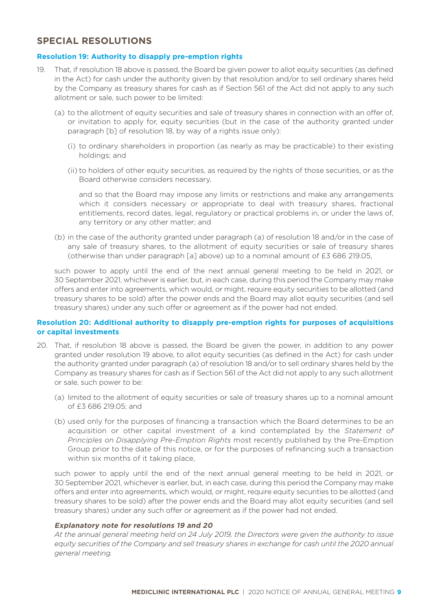## **SPECIAL RESOLUTIONS**

#### **Resolution 19: Authority to disapply pre-emption rights**

- 19. That, if resolution 18 above is passed, the Board be given power to allot equity securities (as defined in the Act) for cash under the authority given by that resolution and/or to sell ordinary shares held by the Company as treasury shares for cash as if Section 561 of the Act did not apply to any such allotment or sale, such power to be limited:
	- (a) to the allotment of equity securities and sale of treasury shares in connection with an offer of, or invitation to apply for, equity securities (but in the case of the authority granted under paragraph [b] of resolution 18, by way of a rights issue only):
		- (i) to ordinary shareholders in proportion (as nearly as may be practicable) to their existing holdings; and
		- (ii) to holders of other equity securities, as required by the rights of those securities, or as the Board otherwise considers necessary,

 and so that the Board may impose any limits or restrictions and make any arrangements which it considers necessary or appropriate to deal with treasury shares, fractional entitlements, record dates, legal, regulatory or practical problems in, or under the laws of, any territory or any other matter; and

 (b) in the case of the authority granted under paragraph (a) of resolution 18 and/or in the case of any sale of treasury shares, to the allotment of equity securities or sale of treasury shares (otherwise than under paragraph [a] above) up to a nominal amount of £3 686 219.05,

such power to apply until the end of the next annual general meeting to be held in 2021, or 30 September 2021, whichever is earlier, but, in each case, during this period the Company may make offers and enter into agreements, which would, or might, require equity securities to be allotted (and treasury shares to be sold) after the power ends and the Board may allot equity securities (and sell treasury shares) under any such offer or agreement as if the power had not ended.

#### **Resolution 20: Additional authority to disapply pre-emption rights for purposes of acquisitions or capital investments**

- 20. That, if resolution 18 above is passed, the Board be given the power, in addition to any power granted under resolution 19 above, to allot equity securities (as defined in the Act) for cash under the authority granted under paragraph (a) of resolution 18 and/or to sell ordinary shares held by the Company as treasury shares for cash as if Section 561 of the Act did not apply to any such allotment or sale, such power to be:
	- (a) limited to the allotment of equity securities or sale of treasury shares up to a nominal amount of £3 686 219.05; and
	- (b) used only for the purposes of financing a transaction which the Board determines to be an acquisition or other capital investment of a kind contemplated by the *Statement of Principles on Disapplying Pre-Emption Rights* most recently published by the Pre-Emption Group prior to the date of this notice, or for the purposes of refinancing such a transaction within six months of it taking place,

such power to apply until the end of the next annual general meeting to be held in 2021, or 30 September 2021, whichever is earlier, but, in each case, during this period the Company may make offers and enter into agreements, which would, or might, require equity securities to be allotted (and treasury shares to be sold) after the power ends and the Board may allot equity securities (and sell treasury shares) under any such offer or agreement as if the power had not ended.

#### **Explanatory note for resolutions 19 and 20**

 *At the annual general meeting held on 24 July 2019, the Directors were given the authority to issue*  equity securities of the Company and sell treasury shares in exchange for cash until the 2020 annual *general meeting.*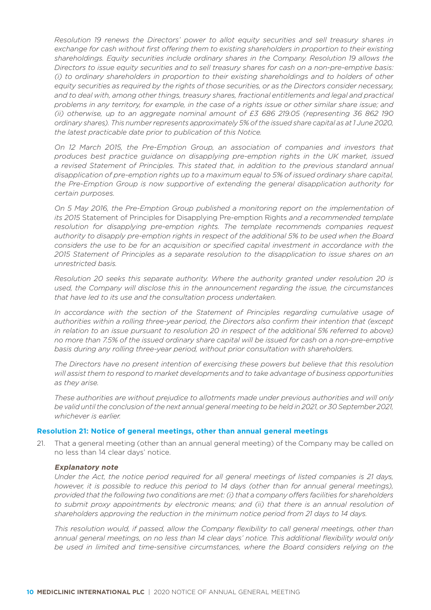*Resolution 19 renews the Directors' power to allot equity securities and sell treasury shares in exchange for cash without first offering them to existing shareholders in proportion to their existing shareholdings. Equity securities include ordinary shares in the Company. Resolution 19 allows the Directors to issue equity securities and to sell treasury shares for cash on a non-pre-emptive basis: (i) to ordinary shareholders in proportion to their existing shareholdings and to holders of other equity securities as required by the rights of those securities, or as the Directors consider necessary, and to deal with, among other things, treasury shares, fractional entitlements and legal and practical problems in any territory, for example, in the case of a rights issue or other similar share issue; and (ii) otherwise, up to an aggregate nominal amount of £3 686 219.05 (representing 36 862 190 ordinary shares). This number represents approximately 5% of the issued share capital as at 1 June 2020, the latest practicable date prior to publication of this Notice.*

 *On 12 March 2015, the Pre-Emption Group, an association of companies and investors that produces best practice guidance on disapplying pre-emption rights in the UK market, issued a revised Statement of Principles. This stated that, in addition to the previous standard annual disapplication of pre-emption rights up to a maximum equal to 5% of issued ordinary share capital, the Pre-Emption Group is now supportive of extending the general disapplication authority for certain purposes.* 

 *On 5 May 2016, the Pre-Emption Group published a monitoring report on the implementation of its 2015* Statement of Principles for Disapplying Pre-emption Rights *and a recommended template*  resolution for disapplying pre-emption rights. The template recommends companies request *authority to disapply pre-emption rights in respect of the additional 5% to be used when the Board considers the use to be for an acquisition or specified capital investment in accordance with the 2015 Statement of Principles as a separate resolution to the disapplication to issue shares on an unrestricted basis.*

 *Resolution 20 seeks this separate authority. Where the authority granted under resolution 20 is used, the Company will disclose this in the announcement regarding the issue, the circumstances that have led to its use and the consultation process undertaken.*

 *In accordance with the section of the Statement of Principles regarding cumulative usage of authorities within a rolling three-year period, the Directors also confirm their intention that (except in relation to an issue pursuant to resolution 20 in respect of the additional 5% referred to above) no more than 7.5% of the issued ordinary share capital will be issued for cash on a non-pre-emptive basis during any rolling three-year period, without prior consultation with shareholders.*

 *The Directors have no present intention of exercising these powers but believe that this resolution will assist them to respond to market developments and to take advantage of business opportunities as they arise.*

 *These authorities are without prejudice to allotments made under previous authorities and will only be valid until the conclusion of the next annual general meeting to be held in 2021, or 30 September 2021, whichever is earlier.* 

## **Resolution 21: Notice of general meetings, other than annual general meetings**

21. That a general meeting (other than an annual general meeting) of the Company may be called on no less than 14 clear days' notice.

#### **Explanatory note**

Under the Act, the notice period required for all general meetings of listed companies is 21 days, however, it is possible to reduce this period to 14 days (other than for annual general meetings), *provided that the following two conditions are met: (i) that a company offers facilities for shareholders*  to submit proxy appointments by electronic means; and (ii) that there is an annual resolution of *shareholders approving the reduction in the minimum notice period from 21 days to 14 days.* 

 *This resolution would, if passed, allow the Company flexibility to call general meetings, other than*  annual general meetings, on no less than 14 clear days' notice. This additional flexibility would only *be used in limited and time-sensitive circumstances, where the Board considers relying on the*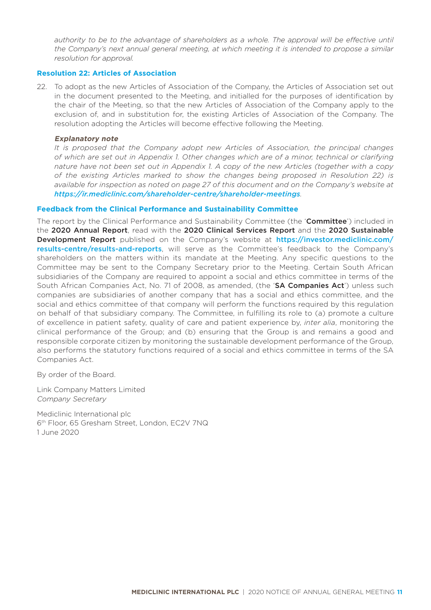authority to be to the advantage of shareholders as a whole. The approval will be effective until *the Company's next annual general meeting, at which meeting it is intended to propose a similar resolution for approval.*

#### **Resolution 22: Articles of Association**

22. To adopt as the new Articles of Association of the Company, the Articles of Association set out in the document presented to the Meeting, and initialled for the purposes of identification by the chair of the Meeting, so that the new Articles of Association of the Company apply to the exclusion of, and in substitution for, the existing Articles of Association of the Company. The resolution adopting the Articles will become effective following the Meeting.

#### **Explanatory note**

 *It is proposed that the Company adopt new Articles of Association, the principal changes of which are set out in Appendix 1. Other changes which are of a minor, technical or clarifying nature have not been set out in Appendix 1. A copy of the new Articles (together with a copy of the existing Articles marked to show the changes being proposed in Resolution 22) is available for inspection as noted on page 27 of this document and on the Company's website at https://ir.mediclinic.com/shareholder-centre/shareholder-meetings.* 

#### **Feedback from the Clinical Performance and Sustainability Committee**

The report by the Clinical Performance and Sustainability Committee (the 'Committee') included in the 2020 Annual Report, read with the 2020 Clinical Services Report and the 2020 Sustainable Development Report published on the Company's website at https://investor.mediclinic.com/ results-centre/results-and-reports, will serve as the Committee's feedback to the Company's shareholders on the matters within its mandate at the Meeting. Any specific questions to the Committee may be sent to the Company Secretary prior to the Meeting. Certain South African subsidiaries of the Company are required to appoint a social and ethics committee in terms of the South African Companies Act, No. 71 of 2008, as amended, (the 'SA Companies Act') unless such companies are subsidiaries of another company that has a social and ethics committee, and the social and ethics committee of that company will perform the functions required by this regulation on behalf of that subsidiary company. The Committee, in fulfilling its role to (a) promote a culture of excellence in patient safety, quality of care and patient experience by, *inter alia*, monitoring the clinical performance of the Group; and (b) ensuring that the Group is and remains a good and responsible corporate citizen by monitoring the sustainable development performance of the Group, also performs the statutory functions required of a social and ethics committee in terms of the SA Companies Act.

By order of the Board.

Link Company Matters Limited *Company Secretary*

Mediclinic International plc 6th Floor, 65 Gresham Street, London, EC2V 7NQ 1 June 2020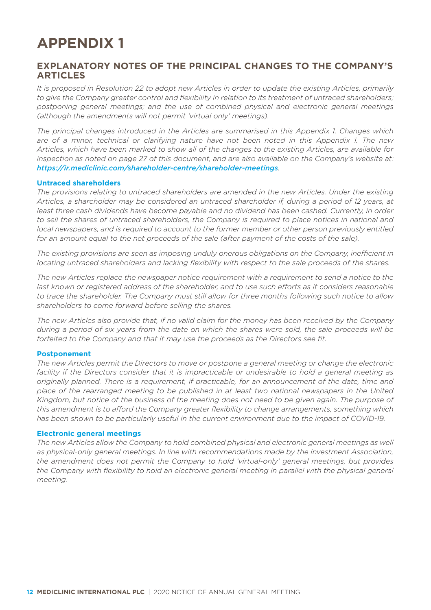## **APPENDIX 1**

## **EXPLANATORY NOTES OF THE PRINCIPAL CHANGES TO THE COMPANY'S ARTICLES**

*It is proposed in Resolution 22 to adopt new Articles in order to update the existing Articles, primarily to give the Company greater control and flexibility in relation to its treatment of untraced shareholders; postponing general meetings; and the use of combined physical and electronic general meetings (although the amendments will not permit 'virtual only' meetings).*

*The principal changes introduced in the Articles are summarised in this Appendix 1. Changes which are of a minor, technical or clarifying nature have not been noted in this Appendix 1. The new Articles, which have been marked to show all of the changes to the existing Articles, are available for inspection as noted on page 27 of this document, and are also available on the Company's website at: https://ir.mediclinic.com/shareholder-centre/shareholder-meetings.*

#### **Untraced shareholders**

*The provisions relating to untraced shareholders are amended in the new Articles. Under the existing Articles, a shareholder may be considered an untraced shareholder if, during a period of 12 years, at least three cash dividends have become payable and no dividend has been cashed. Currently, in order to sell the shares of untraced shareholders, the Company is required to place notices in national and local newspapers, and is required to account to the former member or other person previously entitled for an amount equal to the net proceeds of the sale (after payment of the costs of the sale).*

*The existing provisions are seen as imposing unduly onerous obligations on the Company, inefficient in locating untraced shareholders and lacking flexibility with respect to the sale proceeds of the shares.*

The new Articles replace the newspaper notice requirement with a requirement to send a notice to the last known or registered address of the shareholder, and to use such efforts as it considers reasonable *to trace the shareholder. The Company must still allow for three months following such notice to allow shareholders to come forward before selling the shares.* 

*The new Articles also provide that, if no valid claim for the money has been received by the Company during a period of six years from the date on which the shares were sold, the sale proceeds will be forfeited to the Company and that it may use the proceeds as the Directors see fit.*

#### **Postponement**

*The new Articles permit the Directors to move or postpone a general meeting or change the electronic*  facility if the Directors consider that it is impracticable or undesirable to hold a general meeting as *originally planned. There is a requirement, if practicable, for an announcement of the date, time and*  place of the rearranged meeting to be published in at least two national newspapers in the United *Kingdom, but notice of the business of the meeting does not need to be given again. The purpose of this amendment is to afford the Company greater flexibility to change arrangements, something which has been shown to be particularly useful in the current environment due to the impact of COVID-19.*

#### **Electronic general meetings**

*The new Articles allow the Company to hold combined physical and electronic general meetings as well*  as physical-only general meetings. In line with recommendations made by the Investment Association, *the amendment does not permit the Company to hold 'virtual-only' general meetings, but provides*  the Company with flexibility to hold an electronic general meeting in parallel with the physical general *meeting.*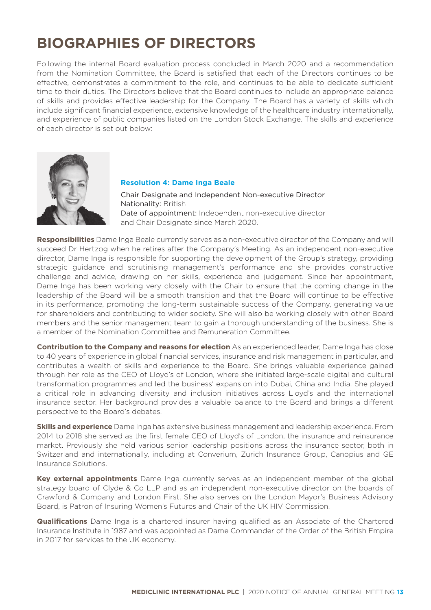## **BIOGRAPHIES OF DIRECTORS**

Following the internal Board evaluation process concluded in March 2020 and a recommendation from the Nomination Committee, the Board is satisfied that each of the Directors continues to be effective, demonstrates a commitment to the role, and continues to be able to dedicate sufficient time to their duties. The Directors believe that the Board continues to include an appropriate balance of skills and provides effective leadership for the Company. The Board has a variety of skills which include significant financial experience, extensive knowledge of the healthcare industry internationally, and experience of public companies listed on the London Stock Exchange. The skills and experience of each director is set out below:



#### **Resolution 4: Dame Inga Beale**

Chair Designate and Independent Non-executive Director Nationality: British Date of appointment: Independent non-executive director and Chair Designate since March 2020.

**Responsibilities** Dame Inga Beale currently serves as a non-executive director of the Company and will succeed Dr Hertzog when he retires after the Company's Meeting. As an independent non-executive director, Dame Inga is responsible for supporting the development of the Group's strategy, providing strategic guidance and scrutinising management's performance and she provides constructive challenge and advice, drawing on her skills, experience and judgement. Since her appointment, Dame Inga has been working very closely with the Chair to ensure that the coming change in the leadership of the Board will be a smooth transition and that the Board will continue to be effective in its performance, promoting the long-term sustainable success of the Company, generating value for shareholders and contributing to wider society. She will also be working closely with other Board members and the senior management team to gain a thorough understanding of the business. She is a member of the Nomination Committee and Remuneration Committee.

**Contribution to the Company and reasons for election** As an experienced leader, Dame Inga has close to 40 years of experience in global financial services, insurance and risk management in particular, and contributes a wealth of skills and experience to the Board. She brings valuable experience gained through her role as the CEO of Lloyd's of London, where she initiated large-scale digital and cultural transformation programmes and led the business' expansion into Dubai, China and India. She played a critical role in advancing diversity and inclusion initiatives across Lloyd's and the international insurance sector. Her background provides a valuable balance to the Board and brings a different perspective to the Board's debates.

**Skills and experience** Dame Inga has extensive business management and leadership experience. From 2014 to 2018 she served as the first female CEO of Lloyd's of London, the insurance and reinsurance market. Previously she held various senior leadership positions across the insurance sector, both in Switzerland and internationally, including at Converium, Zurich Insurance Group, Canopius and GE Insurance Solutions.

**Key external appointments** Dame Inga currently serves as an independent member of the global strategy board of Clyde & Co LLP and as an independent non-executive director on the boards of Crawford & Company and London First. She also serves on the London Mayor's Business Advisory Board, is Patron of Insuring Women's Futures and Chair of the UK HIV Commission.

**Qualifications** Dame Inga is a chartered insurer having qualified as an Associate of the Chartered Insurance Institute in 1987 and was appointed as Dame Commander of the Order of the British Empire in 2017 for services to the UK economy*.*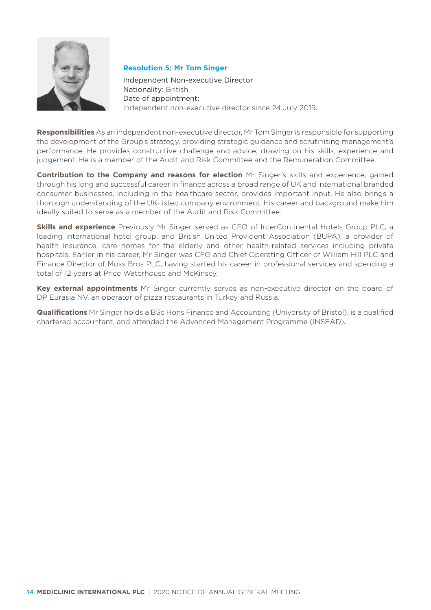

#### **Resolution 5: Mr Tom Singer**

Independent Non-executive Director Nationality: British Date of appointment: Independent non-executive director since 24 July 2019.

**Responsibilities** As an independent non-executive director, Mr Tom Singer is responsible for supporting the development of the Group's strategy, providing strategic guidance and scrutinising management's performance. He provides constructive challenge and advice, drawing on his skills, experience and judgement. He is a member of the Audit and Risk Committee and the Remuneration Committee.

**Contribution to the Company and reasons for election** Mr Singer's skills and experience, gained through his long and successful career in finance across a broad range of UK and international branded consumer businesses, including in the healthcare sector, provides important input. He also brings a thorough understanding of the UK-listed company environment. His career and background make him ideally suited to serve as a member of the Audit and Risk Committee.

**Skills and experience** Previously Mr Singer served as CFO of InterContinental Hotels Group PLC, a leading international hotel group, and British United Provident Association (BUPA), a provider of health insurance, care homes for the elderly and other health-related services including private hospitals. Earlier in his career, Mr Singer was CFO and Chief Operating Officer of William Hill PLC and Finance Director of Moss Bros PLC, having started his career in professional services and spending a total of 12 years at Price Waterhouse and McKinsey.

**Key external appointments** Mr Singer currently serves as non-executive director on the board of DP Eurasia NV, an operator of pizza restaurants in Turkey and Russia.

**Qualifications** Mr Singer holds a BSc Hons Finance and Accounting (University of Bristol), is a qualified chartered accountant, and attended the Advanced Management Programme (INSEAD)*.*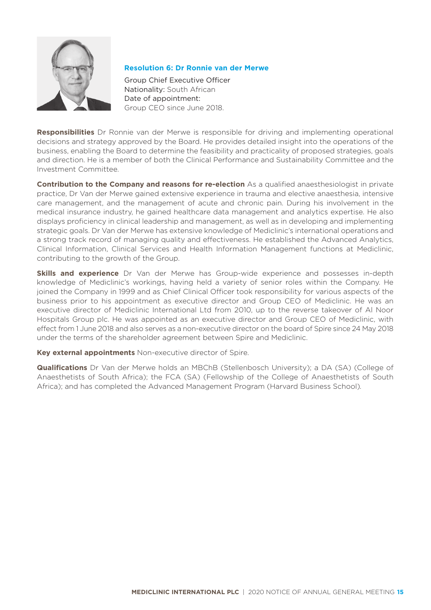

#### **Resolution 6: Dr Ronnie van der Merwe**

Group Chief Executive Officer Nationality: South African Date of appointment: Group CEO since June 2018.

**Responsibilities** Dr Ronnie van der Merwe is responsible for driving and implementing operational decisions and strategy approved by the Board. He provides detailed insight into the operations of the business, enabling the Board to determine the feasibility and practicality of proposed strategies, goals and direction. He is a member of both the Clinical Performance and Sustainability Committee and the Investment Committee.

**Contribution to the Company and reasons for re-election** As a qualified anaesthesiologist in private practice, Dr Van der Merwe gained extensive experience in trauma and elective anaesthesia, intensive care management, and the management of acute and chronic pain. During his involvement in the medical insurance industry, he gained healthcare data management and analytics expertise. He also displays proficiency in clinical leadership and management, as well as in developing and implementing strategic goals. Dr Van der Merwe has extensive knowledge of Mediclinic's international operations and a strong track record of managing quality and effectiveness. He established the Advanced Analytics, Clinical Information, Clinical Services and Health Information Management functions at Mediclinic, contributing to the growth of the Group.

**Skills and experience** Dr Van der Merwe has Group-wide experience and possesses in-depth knowledge of Mediclinic's workings, having held a variety of senior roles within the Company. He joined the Company in 1999 and as Chief Clinical Officer took responsibility for various aspects of the business prior to his appointment as executive director and Group CEO of Mediclinic. He was an executive director of Mediclinic International Ltd from 2010, up to the reverse takeover of Al Noor Hospitals Group plc. He was appointed as an executive director and Group CEO of Mediclinic, with effect from 1 June 2018 and also serves as a non-executive director on the board of Spire since 24 May 2018 under the terms of the shareholder agreement between Spire and Mediclinic.

**Key external appointments** Non-executive director of Spire.

**Qualifications** Dr Van der Merwe holds an MBChB (Stellenbosch University); a DA (SA) (College of Anaesthetists of South Africa); the FCA (SA) (Fellowship of the College of Anaesthetists of South Africa); and has completed the Advanced Management Program (Harvard Business School)*.*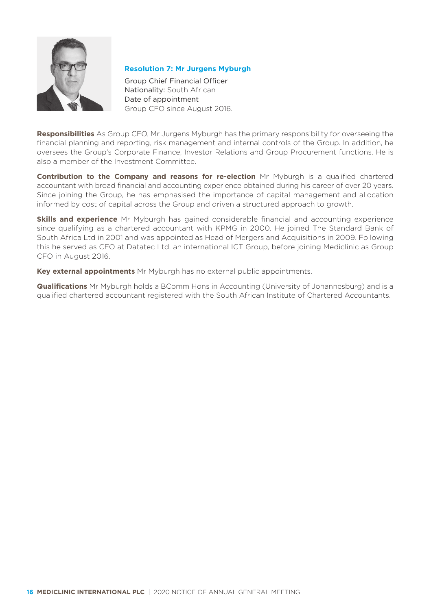

### **Resolution 7: Mr Jurgens Myburgh**

Group Chief Financial Officer Nationality: South African Date of appointment Group CFO since August 2016.

**Responsibilities** As Group CFO, Mr Jurgens Myburgh has the primary responsibility for overseeing the financial planning and reporting, risk management and internal controls of the Group. In addition, he oversees the Group's Corporate Finance, Investor Relations and Group Procurement functions. He is also a member of the Investment Committee.

**Contribution to the Company and reasons for re-election** Mr Myburgh is a qualified chartered accountant with broad financial and accounting experience obtained during his career of over 20 years. Since joining the Group, he has emphasised the importance of capital management and allocation informed by cost of capital across the Group and driven a structured approach to growth.

**Skills and experience** Mr Myburgh has gained considerable financial and accounting experience since qualifying as a chartered accountant with KPMG in 2000. He joined The Standard Bank of South Africa Ltd in 2001 and was appointed as Head of Mergers and Acquisitions in 2009. Following this he served as CFO at Datatec Ltd, an international ICT Group, before joining Mediclinic as Group CFO in August 2016.

**Key external appointments** Mr Myburgh has no external public appointments.

**Qualifications** Mr Myburgh holds a BComm Hons in Accounting (University of Johannesburg) and is a qualified chartered accountant registered with the South African Institute of Chartered Accountants.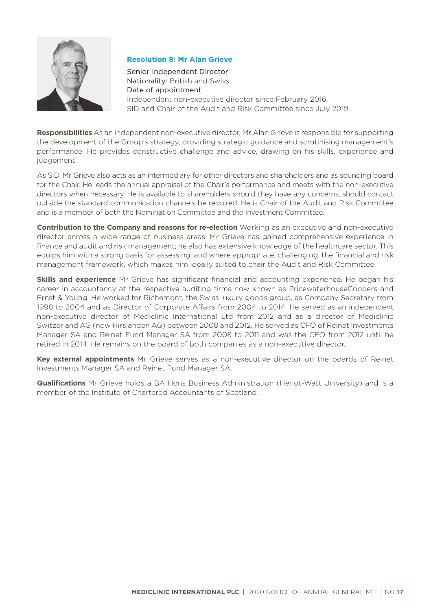

## **Resolution 8: Mr Alan Grieve**

Senior Independent Director Nationality: British and Swiss Date of appointment Independent non-executive director since February 2016. SID and Chair of the Audit and Risk Committee since July 2019.

**Responsibilities** As an independent non-executive director, Mr Alan Grieve is responsible for supporting the development of the Group's strategy, providing strategic guidance and scrutinising management's performance. He provides constructive challenge and advice, drawing on his skills, experience and judgement.

As SID, Mr Grieve also acts as an intermediary for other directors and shareholders and as sounding board for the Chair. He leads the annual appraisal of the Chair's performance and meets with the non-executive directors when necessary. He is available to shareholders should they have any concerns, should contact outside the standard communication channels be required. He is Chair of the Audit and Risk Committee and is a member of both the Nomination Committee and the Investment Committee.

**Contribution to the Company and reasons for re-election** Working as an executive and non-executive director across a wide range of business areas, Mr Grieve has gained comprehensive experience in finance and audit and risk management; he also has extensive knowledge of the healthcare sector. This equips him with a strong basis for assessing, and where appropriate, challenging, the financial and risk management framework, which makes him ideally suited to chair the Audit and Risk Committee.

**Skills and experience** Mr Grieve has significant financial and accounting experience. He began his career in accountancy at the respective auditing firms now known as PricewaterhouseCoopers and Ernst & Young. He worked for Richemont, the Swiss luxury goods group, as Company Secretary from 1998 to 2004 and as Director of Corporate Affairs from 2004 to 2014. He served as an independent non-executive director of Mediclinic International Ltd from 2012 and as a director of Mediclinic Switzerland AG (now Hirslanden AG) between 2008 and 2012. He served as CFO of Reinet Investments Manager SA and Reinet Fund Manager SA from 2008 to 2011 and was the CEO from 2012 until he retired in 2014. He remains on the board of both companies as a non-executive director.

**Key external appointments** Mr Grieve serves as a non-executive director on the boards of Reinet Investments Manager SA and Reinet Fund Manager SA.

**Qualifications** Mr Grieve holds a BA Hons Business Administration (Heriot-Watt University) and is a member of the Institute of Chartered Accountants of Scotland*.*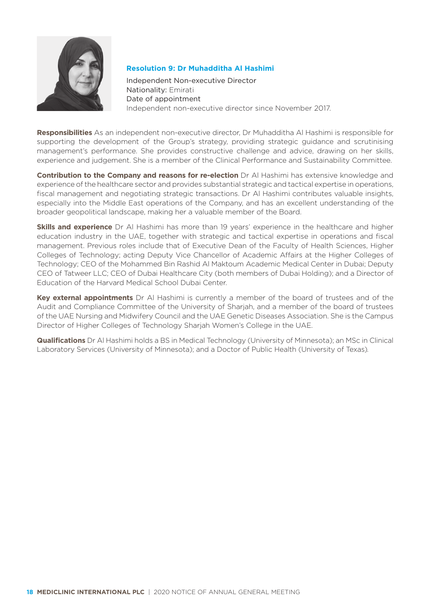

### **Resolution 9: Dr Muhadditha Al Hashimi**

Independent Non-executive Director Nationality: Emirati Date of appointment Independent non-executive director since November 2017.

**Responsibilities** As an independent non-executive director, Dr Muhadditha Al Hashimi is responsible for supporting the development of the Group's strategy, providing strategic guidance and scrutinising management's performance. She provides constructive challenge and advice, drawing on her skills, experience and judgement. She is a member of the Clinical Performance and Sustainability Committee.

**Contribution to the Company and reasons for re-election** Dr Al Hashimi has extensive knowledge and experience of the healthcare sector and provides substantial strategic and tactical expertise in operations, fiscal management and negotiating strategic transactions. Dr Al Hashimi contributes valuable insights, especially into the Middle East operations of the Company, and has an excellent understanding of the broader geopolitical landscape, making her a valuable member of the Board.

**Skills and experience** Dr Al Hashimi has more than 19 years' experience in the healthcare and higher education industry in the UAE, together with strategic and tactical expertise in operations and fiscal management. Previous roles include that of Executive Dean of the Faculty of Health Sciences, Higher Colleges of Technology; acting Deputy Vice Chancellor of Academic Affairs at the Higher Colleges of Technology; CEO of the Mohammed Bin Rashid Al Maktoum Academic Medical Center in Dubai; Deputy CEO of Tatweer LLC; CEO of Dubai Healthcare City (both members of Dubai Holding); and a Director of Education of the Harvard Medical School Dubai Center.

**Key external appointments** Dr Al Hashimi is currently a member of the board of trustees and of the Audit and Compliance Committee of the University of Sharjah, and a member of the board of trustees of the UAE Nursing and Midwifery Council and the UAE Genetic Diseases Association. She is the Campus Director of Higher Colleges of Technology Sharjah Women's College in the UAE.

**Qualifications** Dr Al Hashimi holds a BS in Medical Technology (University of Minnesota); an MSc in Clinical Laboratory Services (University of Minnesota); and a Doctor of Public Health (University of Texas)*.*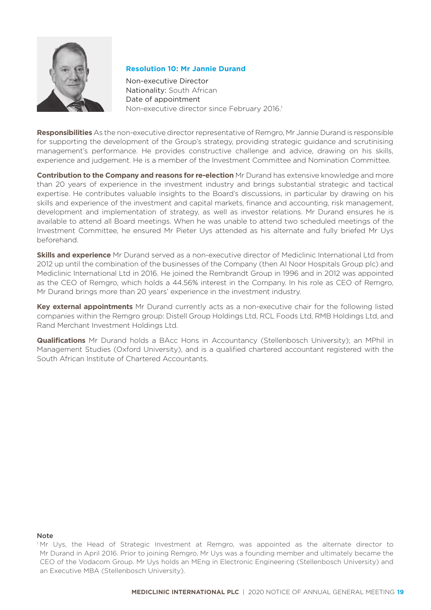

#### **Resolution 10: Mr Jannie Durand**

Non-executive Director Nationality: South African Date of appointment Non-executive director since February 2016.<sup>1</sup>

**Responsibilities** As the non-executive director representative of Remgro, Mr Jannie Durand is responsible for supporting the development of the Group's strategy, providing strategic guidance and scrutinising management's performance. He provides constructive challenge and advice, drawing on his skills, experience and judgement. He is a member of the Investment Committee and Nomination Committee.

**Contribution to the Company and reasons for re-election** Mr Durand has extensive knowledge and more than 20 years of experience in the investment industry and brings substantial strategic and tactical expertise. He contributes valuable insights to the Board's discussions, in particular by drawing on his skills and experience of the investment and capital markets, finance and accounting, risk management, development and implementation of strategy, as well as investor relations. Mr Durand ensures he is available to attend all Board meetings. When he was unable to attend two scheduled meetings of the Investment Committee, he ensured Mr Pieter Uys attended as his alternate and fully briefed Mr Uys beforehand.

**Skills and experience** Mr Durand served as a non-executive director of Mediclinic International Ltd from 2012 up until the combination of the businesses of the Company (then Al Noor Hospitals Group plc) and Mediclinic International Ltd in 2016. He joined the Rembrandt Group in 1996 and in 2012 was appointed as the CEO of Remgro, which holds a 44.56% interest in the Company. In his role as CEO of Remgro, Mr Durand brings more than 20 years' experience in the investment industry.

**Key external appointments** Mr Durand currently acts as a non-executive chair for the following listed companies within the Remgro group: Distell Group Holdings Ltd, RCL Foods Ltd, RMB Holdings Ltd, and Rand Merchant Investment Holdings Ltd.

**Qualifications** Mr Durand holds a BAcc Hons in Accountancy (Stellenbosch University); an MPhil in Management Studies (Oxford University), and is a qualified chartered accountant registered with the South African Institute of Chartered Accountants.

#### Note

<sup>1</sup> Mr Uys, the Head of Strategic Investment at Remgro, was appointed as the alternate director to Mr Durand in April 2016. Prior to joining Remgro, Mr Uys was a founding member and ultimately became the CEO of the Vodacom Group. Mr Uys holds an MEng in Electronic Engineering (Stellenbosch University) and an Executive MBA (Stellenbosch University).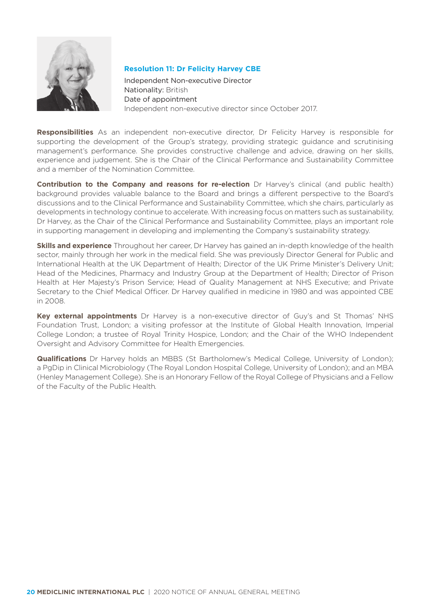

### **Resolution 11: Dr Felicity Harvey CBE**

Independent Non-executive Director Nationality: British Date of appointment Independent non-executive director since October 2017.

**Responsibilities** As an independent non-executive director, Dr Felicity Harvey is responsible for supporting the development of the Group's strategy, providing strategic guidance and scrutinising management's performance. She provides constructive challenge and advice, drawing on her skills, experience and judgement. She is the Chair of the Clinical Performance and Sustainability Committee and a member of the Nomination Committee.

**Contribution to the Company and reasons for re-election** Dr Harvey's clinical (and public health) background provides valuable balance to the Board and brings a different perspective to the Board's discussions and to the Clinical Performance and Sustainability Committee, which she chairs, particularly as developments in technology continue to accelerate. With increasing focus on matters such as sustainability, Dr Harvey, as the Chair of the Clinical Performance and Sustainability Committee, plays an important role in supporting management in developing and implementing the Company's sustainability strategy.

**Skills and experience** Throughout her career, Dr Harvey has gained an in-depth knowledge of the health sector, mainly through her work in the medical field. She was previously Director General for Public and International Health at the UK Department of Health; Director of the UK Prime Minister's Delivery Unit; Head of the Medicines, Pharmacy and Industry Group at the Department of Health; Director of Prison Health at Her Majesty's Prison Service; Head of Quality Management at NHS Executive; and Private Secretary to the Chief Medical Officer. Dr Harvey qualified in medicine in 1980 and was appointed CBE in 2008.

**Key external appointments** Dr Harvey is a non-executive director of Guy's and St Thomas' NHS Foundation Trust, London; a visiting professor at the Institute of Global Health Innovation, Imperial College London; a trustee of Royal Trinity Hospice, London; and the Chair of the WHO Independent Oversight and Advisory Committee for Health Emergencies.

**Qualifications** Dr Harvey holds an MBBS (St Bartholomew's Medical College, University of London); a PgDip in Clinical Microbiology (The Royal London Hospital College, University of London); and an MBA (Henley Management College). She is an Honorary Fellow of the Royal College of Physicians and a Fellow of the Faculty of the Public Health*.*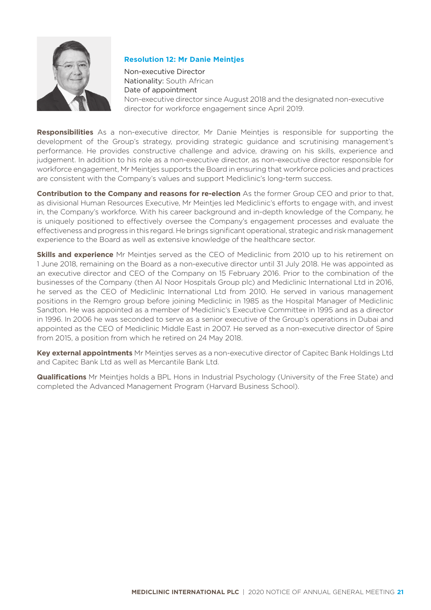

## **Resolution 12: Mr Danie Meintjes**

Non-executive Director Nationality: South African Date of appointment Non-executive director since August 2018 and the designated non-executive director for workforce engagement since April 2019.

**Responsibilities** As a non-executive director, Mr Danie Meintjes is responsible for supporting the development of the Group's strategy, providing strategic guidance and scrutinising management's performance. He provides constructive challenge and advice, drawing on his skills, experience and judgement. In addition to his role as a non-executive director, as non-executive director responsible for workforce engagement, Mr Meintjes supports the Board in ensuring that workforce policies and practices are consistent with the Company's values and support Mediclinic's long-term success.

**Contribution to the Company and reasons for re-election** As the former Group CEO and prior to that, as divisional Human Resources Executive, Mr Meintjes led Mediclinic's efforts to engage with, and invest in, the Company's workforce. With his career background and in-depth knowledge of the Company, he is uniquely positioned to effectively oversee the Company's engagement processes and evaluate the effectiveness and progress in this regard. He brings significant operational, strategic and risk management experience to the Board as well as extensive knowledge of the healthcare sector.

**Skills and experience** Mr Meintjes served as the CEO of Mediclinic from 2010 up to his retirement on 1 June 2018, remaining on the Board as a non-executive director until 31 July 2018. He was appointed as an executive director and CEO of the Company on 15 February 2016. Prior to the combination of the businesses of the Company (then Al Noor Hospitals Group plc) and Mediclinic International Ltd in 2016, he served as the CEO of Mediclinic International Ltd from 2010. He served in various management positions in the Remgro group before joining Mediclinic in 1985 as the Hospital Manager of Mediclinic Sandton. He was appointed as a member of Mediclinic's Executive Committee in 1995 and as a director in 1996. In 2006 he was seconded to serve as a senior executive of the Group's operations in Dubai and appointed as the CEO of Mediclinic Middle East in 2007. He served as a non-executive director of Spire from 2015, a position from which he retired on 24 May 2018.

**Key external appointments** Mr Meintjes serves as a non-executive director of Capitec Bank Holdings Ltd and Capitec Bank Ltd as well as Mercantile Bank Ltd.

**Qualifications** Mr Meintjes holds a BPL Hons in Industrial Psychology (University of the Free State) and completed the Advanced Management Program (Harvard Business School).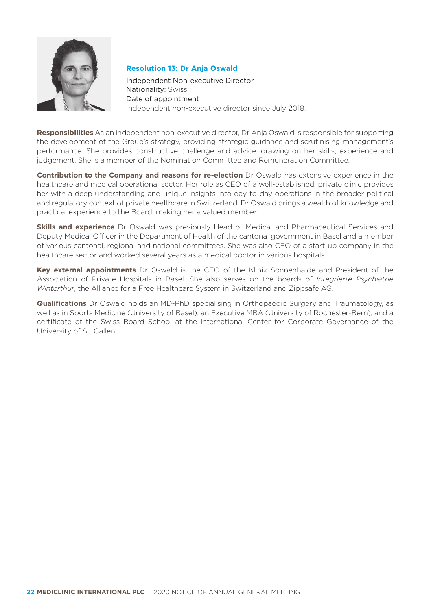

#### **Resolution 13: Dr Anja Oswald**

Independent Non-executive Director Nationality: Swiss Date of appointment Independent non-executive director since July 2018.

**Responsibilities** As an independent non-executive director, Dr Anja Oswald is responsible for supporting the development of the Group's strategy, providing strategic guidance and scrutinising management's performance. She provides constructive challenge and advice, drawing on her skills, experience and judgement. She is a member of the Nomination Committee and Remuneration Committee.

**Contribution to the Company and reasons for re-election** Dr Oswald has extensive experience in the healthcare and medical operational sector. Her role as CEO of a well-established, private clinic provides her with a deep understanding and unique insights into day-to-day operations in the broader political and regulatory context of private healthcare in Switzerland. Dr Oswald brings a wealth of knowledge and practical experience to the Board, making her a valued member.

**Skills and experience** Dr Oswald was previously Head of Medical and Pharmaceutical Services and Deputy Medical Officer in the Department of Health of the cantonal government in Basel and a member of various cantonal, regional and national committees. She was also CEO of a start-up company in the healthcare sector and worked several years as a medical doctor in various hospitals.

**Key external appointments** Dr Oswald is the CEO of the Klinik Sonnenhalde and President of the Association of Private Hospitals in Basel. She also serves on the boards of *Integrierte Psychiatrie Winterthur*, the Alliance for a Free Healthcare System in Switzerland and Zippsafe AG.

**Qualifications** Dr Oswald holds an MD-PhD specialising in Orthopaedic Surgery and Traumatology, as well as in Sports Medicine (University of Basel), an Executive MBA (University of Rochester-Bern), and a certificate of the Swiss Board School at the International Center for Corporate Governance of the University of St. Gallen.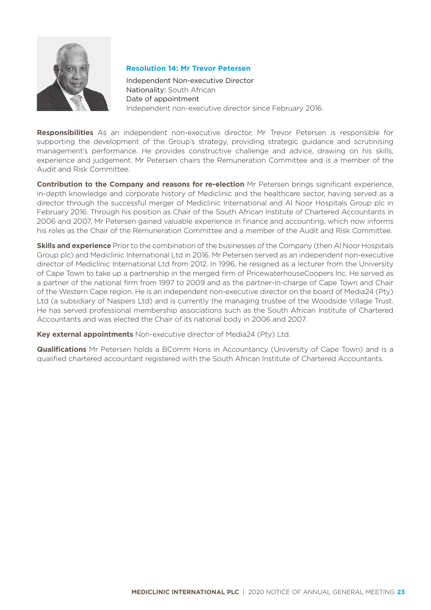

#### **Resolution 14: Mr Trevor Petersen**

Independent Non-executive Director Nationality: South African Date of appointment Independent non-executive director since February 2016.

**Responsibilities** As an independent non-executive director, Mr Trevor Petersen is responsible for supporting the development of the Group's strategy, providing strategic guidance and scrutinising management's performance. He provides constructive challenge and advice, drawing on his skills, experience and judgement. Mr Petersen chairs the Remuneration Committee and is a member of the Audit and Risk Committee.

**Contribution to the Company and reasons for re-election** Mr Petersen brings significant experience, in-depth knowledge and corporate history of Mediclinic and the healthcare sector, having served as a director through the successful merger of Mediclinic International and Al Noor Hospitals Group plc in February 2016. Through his position as Chair of the South African Institute of Chartered Accountants in 2006 and 2007, Mr Petersen gained valuable experience in finance and accounting, which now informs his roles as the Chair of the Remuneration Committee and a member of the Audit and Risk Committee.

**Skills and experience** Prior to the combination of the businesses of the Company (then Al Noor Hospitals Group plc) and Mediclinic International Ltd in 2016, Mr Petersen served as an independent non-executive director of Mediclinic International Ltd from 2012. In 1996, he resigned as a lecturer from the University of Cape Town to take up a partnership in the merged firm of PricewaterhouseCoopers Inc. He served as a partner of the national firm from 1997 to 2009 and as the partner-in-charge of Cape Town and Chair of the Western Cape region. He is an independent non-executive director on the board of Media24 (Pty) Ltd (a subsidiary of Naspers Ltd) and is currently the managing trustee of the Woodside Village Trust. He has served professional membership associations such as the South African Institute of Chartered Accountants and was elected the Chair of its national body in 2006 and 2007.

**Key external appointments** Non-executive director of Media24 (Pty) Ltd.

**Qualifications** Mr Petersen holds a BComm Hons in Accountancy (University of Cape Town) and is a qualified chartered accountant registered with the South African Institute of Chartered Accountants.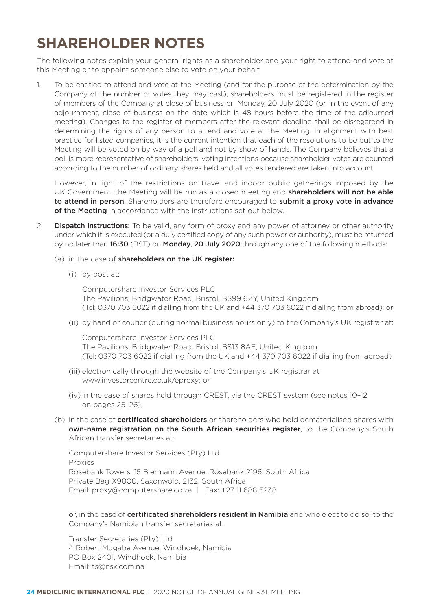## **SHAREHOLDER NOTES**

The following notes explain your general rights as a shareholder and your right to attend and vote at this Meeting or to appoint someone else to vote on your behalf.

1. To be entitled to attend and vote at the Meeting (and for the purpose of the determination by the Company of the number of votes they may cast), shareholders must be registered in the register of members of the Company at close of business on Monday, 20 July 2020 (or, in the event of any adjournment, close of business on the date which is 48 hours before the time of the adjourned meeting). Changes to the register of members after the relevant deadline shall be disregarded in determining the rights of any person to attend and vote at the Meeting. In alignment with best practice for listed companies, it is the current intention that each of the resolutions to be put to the Meeting will be voted on by way of a poll and not by show of hands. The Company believes that a poll is more representative of shareholders' voting intentions because shareholder votes are counted according to the number of ordinary shares held and all votes tendered are taken into account.

 However, in light of the restrictions on travel and indoor public gatherings imposed by the UK Government, the Meeting will be run as a closed meeting and **shareholders will not be able** to attend in person. Shareholders are therefore encouraged to submit a proxy vote in advance of the Meeting in accordance with the instructions set out below.

- 2. **Dispatch instructions:** To be valid, any form of proxy and any power of attorney or other authority under which it is executed (or a duly certified copy of any such power or authority), must be returned by no later than 16:30 (BST) on Monday, 20 July 2020 through any one of the following methods:
	- (a) in the case of shareholders on the UK register:
		- (i) by post at:

 Computershare Investor Services PLC The Pavilions, Bridgwater Road, Bristol, BS99 6ZY, United Kingdom (Tel: 0370 703 6022 if dialling from the UK and +44 370 703 6022 if dialling from abroad); or

(ii) by hand or courier (during normal business hours only) to the Company's UK registrar at:

 Computershare Investor Services PLC The Pavilions, Bridgwater Road, Bristol, BS13 8AE, United Kingdom (Tel: 0370 703 6022 if dialling from the UK and +44 370 703 6022 if dialling from abroad)

- (iii) electronically through the website of the Company's UK registrar at www.investorcentre.co.uk/eproxy; or
- (iv) in the case of shares held through CREST, via the CREST system (see notes 10–12 on pages 25–26);
- (b) in the case of **certificated shareholders** or shareholders who hold dematerialised shares with own-name registration on the South African securities register, to the Company's South African transfer secretaries at:

 Computershare Investor Services (Pty) Ltd Proxies Rosebank Towers, 15 Biermann Avenue, Rosebank 2196, South Africa Private Bag X9000, Saxonwold, 2132, South Africa Email: proxy@computershare.co.za | Fax: +27 11 688 5238

or, in the case of **certificated shareholders resident in Namibia** and who elect to do so, to the Company's Namibian transfer secretaries at:

 Transfer Secretaries (Pty) Ltd 4 Robert Mugabe Avenue, Windhoek, Namibia PO Box 2401, Windhoek, Namibia Email: ts@nsx.com.na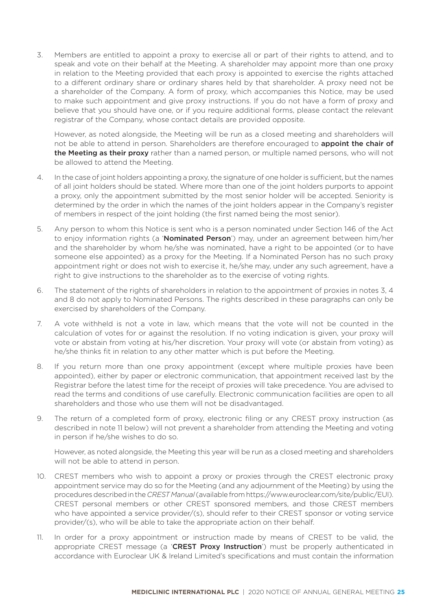3. Members are entitled to appoint a proxy to exercise all or part of their rights to attend, and to speak and vote on their behalf at the Meeting. A shareholder may appoint more than one proxy in relation to the Meeting provided that each proxy is appointed to exercise the rights attached to a different ordinary share or ordinary shares held by that shareholder. A proxy need not be a shareholder of the Company. A form of proxy, which accompanies this Notice, may be used to make such appointment and give proxy instructions. If you do not have a form of proxy and believe that you should have one, or if you require additional forms, please contact the relevant registrar of the Company, whose contact details are provided opposite.

 However, as noted alongside, the Meeting will be run as a closed meeting and shareholders will not be able to attend in person. Shareholders are therefore encouraged to **appoint the chair of** the Meeting as their proxy rather than a named person, or multiple named persons, who will not be allowed to attend the Meeting.

- 4. In the case of joint holders appointing a proxy, the signature of one holder is sufficient, but the names of all joint holders should be stated. Where more than one of the joint holders purports to appoint a proxy, only the appointment submitted by the most senior holder will be accepted. Seniority is determined by the order in which the names of the joint holders appear in the Company's register of members in respect of the joint holding (the first named being the most senior).
- 5. Any person to whom this Notice is sent who is a person nominated under Section 146 of the Act to enjoy information rights (a 'Nominated Person') may, under an agreement between him/her and the shareholder by whom he/she was nominated, have a right to be appointed (or to have someone else appointed) as a proxy for the Meeting. If a Nominated Person has no such proxy appointment right or does not wish to exercise it, he/she may, under any such agreement, have a right to give instructions to the shareholder as to the exercise of voting rights.
- 6. The statement of the rights of shareholders in relation to the appointment of proxies in notes 3, 4 and 8 do not apply to Nominated Persons. The rights described in these paragraphs can only be exercised by shareholders of the Company.
- 7. A vote withheld is not a vote in law, which means that the vote will not be counted in the calculation of votes for or against the resolution. If no voting indication is given, your proxy will vote or abstain from voting at his/her discretion. Your proxy will vote (or abstain from voting) as he/she thinks fit in relation to any other matter which is put before the Meeting.
- 8. If you return more than one proxy appointment (except where multiple proxies have been appointed), either by paper or electronic communication, that appointment received last by the Registrar before the latest time for the receipt of proxies will take precedence. You are advised to read the terms and conditions of use carefully. Electronic communication facilities are open to all shareholders and those who use them will not be disadvantaged.
- 9. The return of a completed form of proxy, electronic filing or any CREST proxy instruction (as described in note 11 below) will not prevent a shareholder from attending the Meeting and voting in person if he/she wishes to do so.

 However, as noted alongside, the Meeting this year will be run as a closed meeting and shareholders will not be able to attend in person.

- 10. CREST members who wish to appoint a proxy or proxies through the CREST electronic proxy appointment service may do so for the Meeting (and any adjournment of the Meeting) by using the procedures described in the *CREST Manual* (available from https://www.euroclear.com/site/public/EUI). CREST personal members or other CREST sponsored members, and those CREST members who have appointed a service provider/(s), should refer to their CREST sponsor or voting service provider/(s), who will be able to take the appropriate action on their behalf.
- 11. In order for a proxy appointment or instruction made by means of CREST to be valid, the appropriate CREST message (a 'CREST Proxy Instruction') must be properly authenticated in accordance with Euroclear UK & Ireland Limited's specifications and must contain the information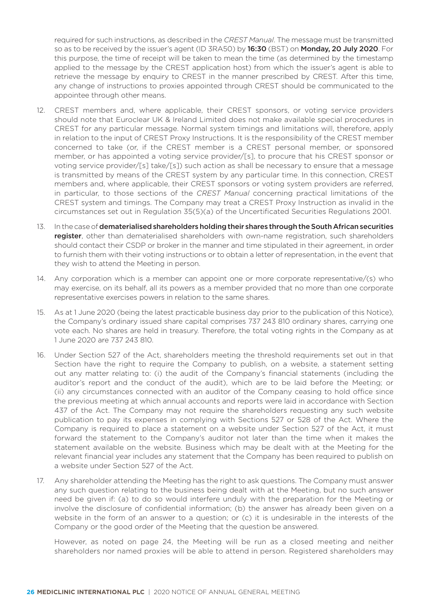required for such instructions, as described in the *CREST Manual*. The message must be transmitted so as to be received by the issuer's agent (ID 3RA50) by 16:30 (BST) on Monday, 20 July 2020. For this purpose, the time of receipt will be taken to mean the time (as determined by the timestamp applied to the message by the CREST application host) from which the issuer's agent is able to retrieve the message by enquiry to CREST in the manner prescribed by CREST. After this time, any change of instructions to proxies appointed through CREST should be communicated to the appointee through other means.

- 12. CREST members and, where applicable, their CREST sponsors, or voting service providers should note that Euroclear UK & Ireland Limited does not make available special procedures in CREST for any particular message. Normal system timings and limitations will, therefore, apply in relation to the input of CREST Proxy Instructions. It is the responsibility of the CREST member concerned to take (or, if the CREST member is a CREST personal member, or sponsored member, or has appointed a voting service provider/[s], to procure that his CREST sponsor or voting service provider/[s] take/[s]) such action as shall be necessary to ensure that a message is transmitted by means of the CREST system by any particular time. In this connection, CREST members and, where applicable, their CREST sponsors or voting system providers are referred, in particular, to those sections of the *CREST Manual* concerning practical limitations of the CREST system and timings. The Company may treat a CREST Proxy Instruction as invalid in the circumstances set out in Regulation 35(5)(a) of the Uncertificated Securities Regulations 2001.
- 13. In the case of dematerialised shareholders holding their shares through the South African securities register, other than dematerialised shareholders with own-name registration, such shareholders should contact their CSDP or broker in the manner and time stipulated in their agreement, in order to furnish them with their voting instructions or to obtain a letter of representation, in the event that they wish to attend the Meeting in person.
- 14. Any corporation which is a member can appoint one or more corporate representative/(s) who may exercise, on its behalf, all its powers as a member provided that no more than one corporate representative exercises powers in relation to the same shares.
- 15. As at 1 June 2020 (being the latest practicable business day prior to the publication of this Notice), the Company's ordinary issued share capital comprises 737 243 810 ordinary shares, carrying one vote each. No shares are held in treasury. Therefore, the total voting rights in the Company as at 1 June 2020 are 737 243 810.
- 16. Under Section 527 of the Act, shareholders meeting the threshold requirements set out in that Section have the right to require the Company to publish, on a website, a statement setting out any matter relating to: (i) the audit of the Company's financial statements (including the auditor's report and the conduct of the audit), which are to be laid before the Meeting; or (ii) any circumstances connected with an auditor of the Company ceasing to hold office since the previous meeting at which annual accounts and reports were laid in accordance with Section 437 of the Act. The Company may not require the shareholders requesting any such website publication to pay its expenses in complying with Sections 527 or 528 of the Act. Where the Company is required to place a statement on a website under Section 527 of the Act, it must forward the statement to the Company's auditor not later than the time when it makes the statement available on the website. Business which may be dealt with at the Meeting for the relevant financial year includes any statement that the Company has been required to publish on a website under Section 527 of the Act.
- 17. Any shareholder attending the Meeting has the right to ask questions. The Company must answer any such question relating to the business being dealt with at the Meeting, but no such answer need be given if: (a) to do so would interfere unduly with the preparation for the Meeting or involve the disclosure of confidential information; (b) the answer has already been given on a website in the form of an answer to a question; or (c) it is undesirable in the interests of the Company or the good order of the Meeting that the question be answered.

 However, as noted on page 24, the Meeting will be run as a closed meeting and neither shareholders nor named proxies will be able to attend in person. Registered shareholders may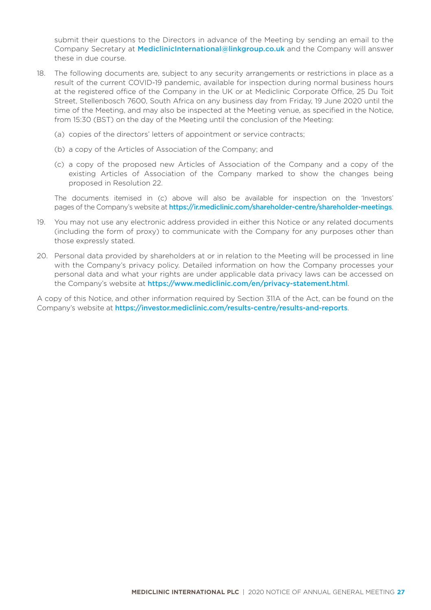submit their questions to the Directors in advance of the Meeting by sending an email to the Company Secretary at MediclinicInternational@linkgroup.co.uk and the Company will answer these in due course.

- 18. The following documents are, subject to any security arrangements or restrictions in place as a result of the current COVID-19 pandemic, available for inspection during normal business hours at the registered office of the Company in the UK or at Mediclinic Corporate Office, 25 Du Toit Street, Stellenbosch 7600, South Africa on any business day from Friday, 19 June 2020 until the time of the Meeting, and may also be inspected at the Meeting venue, as specified in the Notice, from 15:30 (BST) on the day of the Meeting until the conclusion of the Meeting:
	- (a) copies of the directors' letters of appointment or service contracts;
	- (b) a copy of the Articles of Association of the Company; and
	- (c) a copy of the proposed new Articles of Association of the Company and a copy of the existing Articles of Association of the Company marked to show the changes being proposed in Resolution 22.

The documents itemised in (c) above will also be available for inspection on the 'Investors' pages of the Company's website at https://ir.mediclinic.com/shareholder-centre/shareholder-meetings.

- 19. You may not use any electronic address provided in either this Notice or any related documents (including the form of proxy) to communicate with the Company for any purposes other than those expressly stated.
- 20. Personal data provided by shareholders at or in relation to the Meeting will be processed in line with the Company's privacy policy. Detailed information on how the Company processes your personal data and what your rights are under applicable data privacy laws can be accessed on the Company's website at https://www.mediclinic.com/en/privacy-statement.html.

A copy of this Notice, and other information required by Section 311A of the Act, can be found on the Company's website at https://investor.mediclinic.com/results-centre/results-and-reports.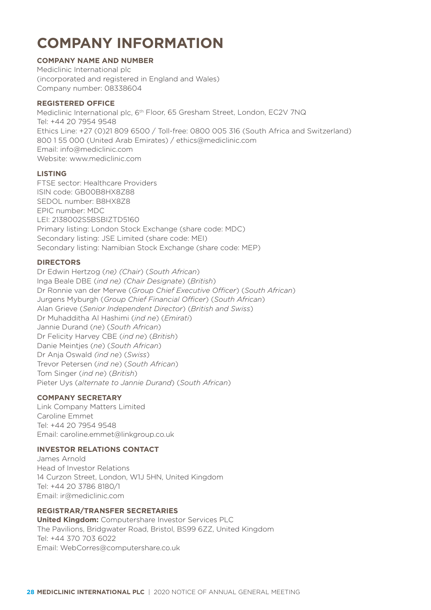# **COMPANY INFORMATION**

## **COMPANY NAME AND NUMBER**

Mediclinic International plc (incorporated and registered in England and Wales) Company number: 08338604

### **REGISTERED OFFICE**

Mediclinic International plc, 6<sup>th</sup> Floor, 65 Gresham Street, London, EC2V 7NQ Tel: +44 20 7954 9548 Ethics Line: +27 (0)21 809 6500 / Toll-free: 0800 005 316 (South Africa and Switzerland) 800 1 55 000 (United Arab Emirates) / ethics@mediclinic.com Email: info@mediclinic.com Website: www.mediclinic.com

## **LISTING**

FTSE sector: Healthcare Providers ISIN code: GB00B8HX8Z88 SEDOL number: B8HX8Z8 EPIC number: MDC LEI: 2138002S5BSBIZTD5160 Primary listing: London Stock Exchange (share code: MDC) Secondary listing: JSE Limited (share code: MEI) Secondary listing: Namibian Stock Exchange (share code: MEP)

### **DIRECTORS**

Dr Edwin Hertzog (*ne) (Chair*) (*South African*) Inga Beale DBE (*ind ne) (Chair Designate*) (*British*) Dr Ronnie van der Merwe (*Group Chief Executive Officer*) (*South African*) Jurgens Myburgh (*Group Chief Financial Officer*) (*South African*) Alan Grieve (*Senior Independent Director*) (*British and Swiss*) Dr Muhadditha Al Hashimi (*ind ne*) (*Emirati*) Jannie Durand (*ne*) (*South African*) Dr Felicity Harvey CBE (*ind ne*) (*British*) Danie Meintjes (*ne*) (*South African*) Dr Anja Oswald *(ind ne*) (*Swiss*) Trevor Petersen (*ind ne*) (*South African*) Tom Singer (*ind ne*) (*British*) Pieter Uys (*alternate to Jannie Durand*) (*South African*)

## **COMPANY SECRETARY**

Link Company Matters Limited Caroline Emmet Tel: +44 20 7954 9548 Email: caroline.emmet@linkgroup.co.uk

## **INVESTOR RELATIONS CONTACT**

James Arnold Head of Investor Relations 14 Curzon Street, London, W1J 5HN, United Kingdom Tel: +44 20 3786 8180/1 Email: ir@mediclinic.com

## **REGISTRAR/TRANSFER SECRETARIES**

**United Kingdom:** Computershare Investor Services PLC The Pavilions, Bridgwater Road, Bristol, BS99 6ZZ, United Kingdom Tel: +44 370 703 6022 Email: WebCorres@computershare.co.uk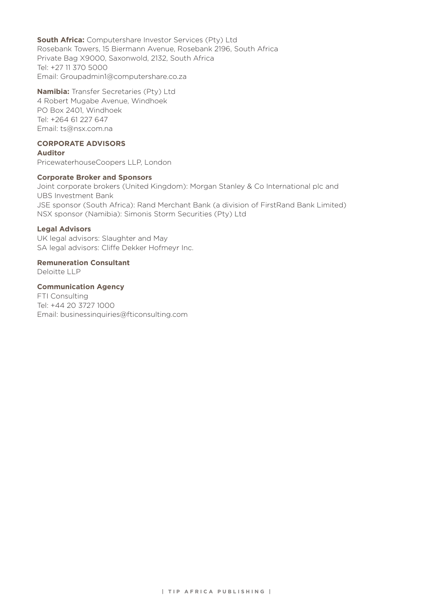**South Africa:** Computershare Investor Services (Pty) Ltd Rosebank Towers, 15 Biermann Avenue, Rosebank 2196, South Africa Private Bag X9000, Saxonwold, 2132, South Africa Tel: +27 11 370 5000 Email: Groupadmin1@computershare.co.za

**Namibia:** Transfer Secretaries (Pty) Ltd 4 Robert Mugabe Avenue, Windhoek PO Box 2401, Windhoek Tel: +264 61 227 647 Email: ts@nsx.com.na

## **CORPORATE ADVISORS**

**Auditor** PricewaterhouseCoopers LLP, London

#### **Corporate Broker and Sponsors**

Joint corporate brokers (United Kingdom): Morgan Stanley & Co International plc and UBS Investment Bank JSE sponsor (South Africa): Rand Merchant Bank (a division of FirstRand Bank Limited) NSX sponsor (Namibia): Simonis Storm Securities (Pty) Ltd

#### **Legal Advisors**

UK legal advisors: Slaughter and May SA legal advisors: Cliffe Dekker Hofmeyr Inc.

**Remuneration Consultant**

Deloitte LLP

**Communication Agency** FTI Consulting Tel: +44 20 3727 1000 Email: businessinquiries@fticonsulting.com